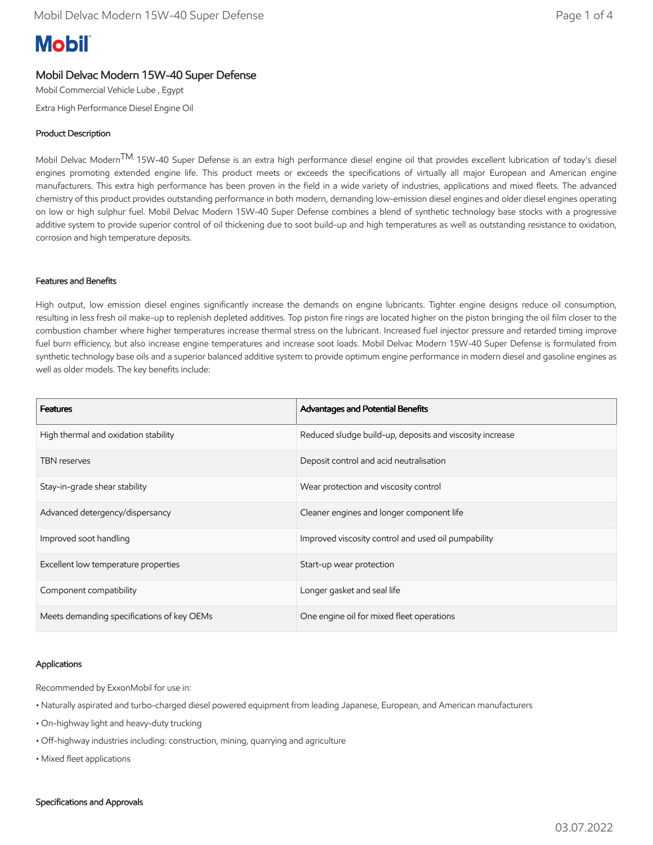# **Mobil**

## Mobil Delvac Modern 15W-40 Super Defense

Mobil Commercial Vehicle Lube , Egypt

Extra High Performance Diesel Engine Oil

### Product Description

Mobil Delvac Modern<sup>IM</sup> 15W-40 Super Defense is an extra high performance diesel engine oil that provides excellent lubrication of today's diesel engines promoting extended engine life. This product meets or exceeds the specifications of virtually all major European and American engine manufacturers. This extra high performance has been proven in the field in a wide variety of industries, applications and mixed fleets. The advanced chemistry of this product provides outstanding performance in both modern, demanding low-emission diesel engines and older diesel engines operating on low or high sulphur fuel. Mobil Delvac Modern 15W-40 Super Defense combines a blend of synthetic technology base stocks with a progressive additive system to provide superior control of oil thickening due to soot build-up and high temperatures as well as outstanding resistance to oxidation, corrosion and high temperature deposits.

#### Features and Benefits

High output, low emission diesel engines significantly increase the demands on engine lubricants. Tighter engine designs reduce oil consumption, resulting in less fresh oil make-up to replenish depleted additives. Top piston fire rings are located higher on the piston bringing the oil film closer to the combustion chamber where higher temperatures increase thermal stress on the lubricant. Increased fuel injector pressure and retarded timing improve fuel burn efficiency, but also increase engine temperatures and increase soot loads. Mobil Delvac Modern 15W-40 Super Defense is formulated from synthetic technology base oils and a superior balanced additive system to provide optimum engine performance in modern diesel and gasoline engines as well as older models. The key benefits include:

| <b>Features</b>                            | <b>Advantages and Potential Benefits</b>                 |
|--------------------------------------------|----------------------------------------------------------|
| High thermal and oxidation stability       | Reduced sludge build-up, deposits and viscosity increase |
| <b>TBN</b> reserves                        | Deposit control and acid neutralisation                  |
| Stay-in-grade shear stability              | Wear protection and viscosity control                    |
| Advanced detergency/dispersancy            | Cleaner engines and longer component life                |
| Improved soot handling                     | Improved viscosity control and used oil pumpability      |
| Excellent low temperature properties       | Start-up wear protection                                 |
| Component compatibility                    | Longer gasket and seal life                              |
| Meets demanding specifications of key OEMs | One engine oil for mixed fleet operations                |

#### Applications

Recommended by ExxonMobil for use in:

- Naturally aspirated and turbo-charged diesel powered equipment from leading Japanese, European, and American manufacturers
- On-highway light and heavy-duty trucking
- Off-highway industries including: construction, mining, quarrying and agriculture
- Mixed fleet applications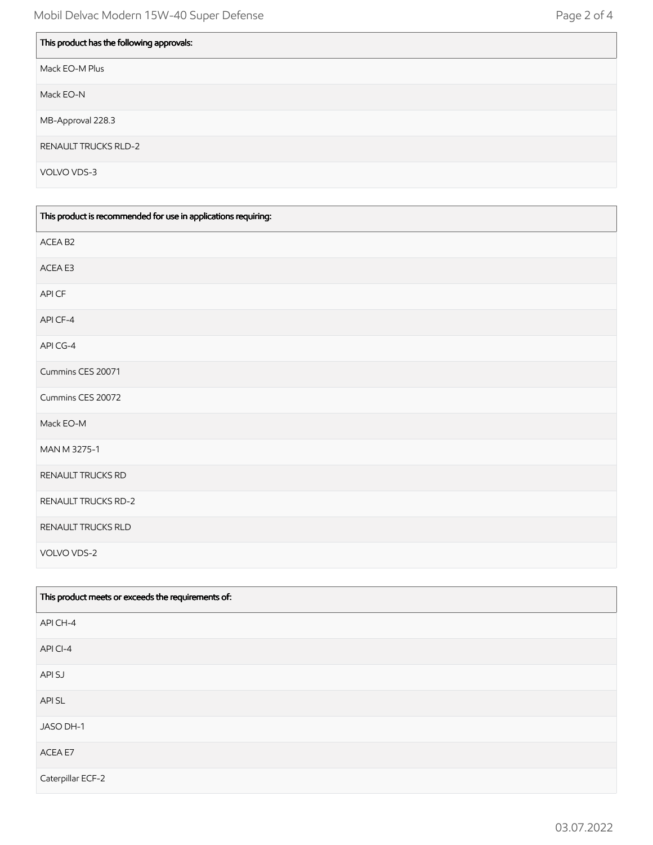| This product has the following approvals: |
|-------------------------------------------|
| Mack EO-M Plus                            |
| Mack EO-N                                 |
| MB-Approval 228.3                         |
| <b>RENAULT TRUCKS RLD-2</b>               |
| VOLVO VDS-3                               |

| This product is recommended for use in applications requiring: |
|----------------------------------------------------------------|
| ACEA B2                                                        |
| ACEA E3                                                        |
| API CF                                                         |
| API CF-4                                                       |
| API CG-4                                                       |
| Cummins CES 20071                                              |
| Cummins CES 20072                                              |
| Mack EO-M                                                      |
| MAN M 3275-1                                                   |
| RENAULT TRUCKS RD                                              |
| RENAULT TRUCKS RD-2                                            |
| RENAULT TRUCKS RLD                                             |
| VOLVO VDS-2                                                    |

| This product meets or exceeds the requirements of: |
|----------------------------------------------------|
| API CH-4                                           |
| API CI-4                                           |
| API SJ                                             |
| API SL                                             |
| JASO DH-1                                          |
| ACEA E7                                            |
| Caterpillar ECF-2                                  |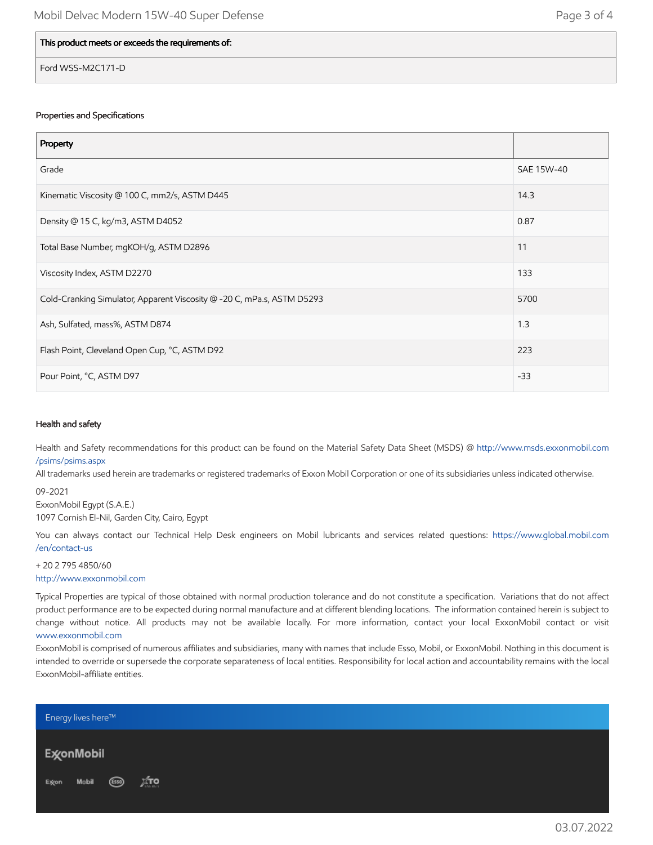| Page 3 of 4 |  |  |
|-------------|--|--|
|-------------|--|--|

#### This product meets or exceeds the requirements of:

Ford WSS-M2C171-D

#### Properties and Specifications

| Property                                                               |            |
|------------------------------------------------------------------------|------------|
| Grade                                                                  | SAE 15W-40 |
| Kinematic Viscosity @ 100 C, mm2/s, ASTM D445                          | 14.3       |
| Density @ 15 C, kg/m3, ASTM D4052                                      | 0.87       |
| Total Base Number, mgKOH/g, ASTM D2896                                 | 11         |
| Viscosity Index, ASTM D2270                                            | 133        |
| Cold-Cranking Simulator, Apparent Viscosity @ -20 C, mPa.s, ASTM D5293 | 5700       |
| Ash, Sulfated, mass%, ASTM D874                                        | 1.3        |
| Flash Point, Cleveland Open Cup, °C, ASTM D92                          | 223        |
| Pour Point, °C, ASTM D97                                               | $-33$      |

#### Health and safety

Health and Safety recommendations for this product can be found on the Material Safety Data Sheet (MSDS) @ [http://www.msds.exxonmobil.com](http://www.msds.exxonmobil.com/psims/psims.aspx) /psims/psims.aspx

All trademarks used herein are trademarks or registered trademarks of Exxon Mobil Corporation or one of its subsidiaries unless indicated otherwise.

09-2021 ExxonMobil Egypt (S.A.E.) 1097 Cornish El-Nil, Garden City, Cairo, Egypt

You can always contact our Technical Help Desk engineers on Mobil lubricants and services related questions: [https://www.global.mobil.com](https://www.global.mobil.com/en/contact-us) /en/contact-us

+ 20 2 795 4850/60 [http://www.exxonmobil.com](http://www.exxonmobil.com/)

Typical Properties are typical of those obtained with normal production tolerance and do not constitute a specification. Variations that do not affect product performance are to be expected during normal manufacture and at different blending locations. The information contained herein is subject to change without notice. All products may not be available locally. For more information, contact your local ExxonMobil contact or visit [www.exxonmobil.com](http://www.exxonmobil.com/)

ExxonMobil is comprised of numerous affiliates and subsidiaries, many with names that include Esso, Mobil, or ExxonMobil. Nothing in this document is intended to override or supersede the corporate separateness of local entities. Responsibility for local action and accountability remains with the local ExxonMobil-affiliate entities.